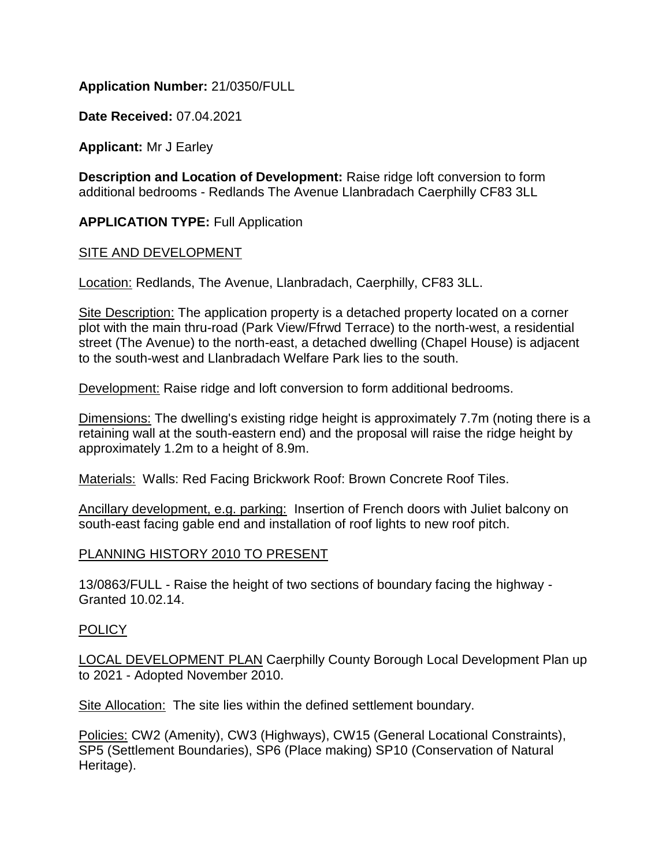## **Application Number:** 21/0350/FULL

**Date Received:** 07.04.2021

**Applicant:** Mr J Earley

**Description and Location of Development:** Raise ridge loft conversion to form additional bedrooms - Redlands The Avenue Llanbradach Caerphilly CF83 3LL

**APPLICATION TYPE:** Full Application

### SITE AND DEVELOPMENT

Location: Redlands, The Avenue, Llanbradach, Caerphilly, CF83 3LL.

Site Description: The application property is a detached property located on a corner plot with the main thru-road (Park View/Ffrwd Terrace) to the north-west, a residential street (The Avenue) to the north-east, a detached dwelling (Chapel House) is adjacent to the south-west and Llanbradach Welfare Park lies to the south.

Development: Raise ridge and loft conversion to form additional bedrooms.

Dimensions: The dwelling's existing ridge height is approximately 7.7m (noting there is a retaining wall at the south-eastern end) and the proposal will raise the ridge height by approximately 1.2m to a height of 8.9m.

Materials: Walls: Red Facing Brickwork Roof: Brown Concrete Roof Tiles.

Ancillary development, e.g. parking: Insertion of French doors with Juliet balcony on south-east facing gable end and installation of roof lights to new roof pitch.

### PLANNING HISTORY 2010 TO PRESENT

13/0863/FULL - Raise the height of two sections of boundary facing the highway - Granted 10.02.14.

### POLICY

LOCAL DEVELOPMENT PLAN Caerphilly County Borough Local Development Plan up to 2021 - Adopted November 2010.

Site Allocation: The site lies within the defined settlement boundary.

Policies: CW2 (Amenity), CW3 (Highways), CW15 (General Locational Constraints), SP5 (Settlement Boundaries), SP6 (Place making) SP10 (Conservation of Natural Heritage).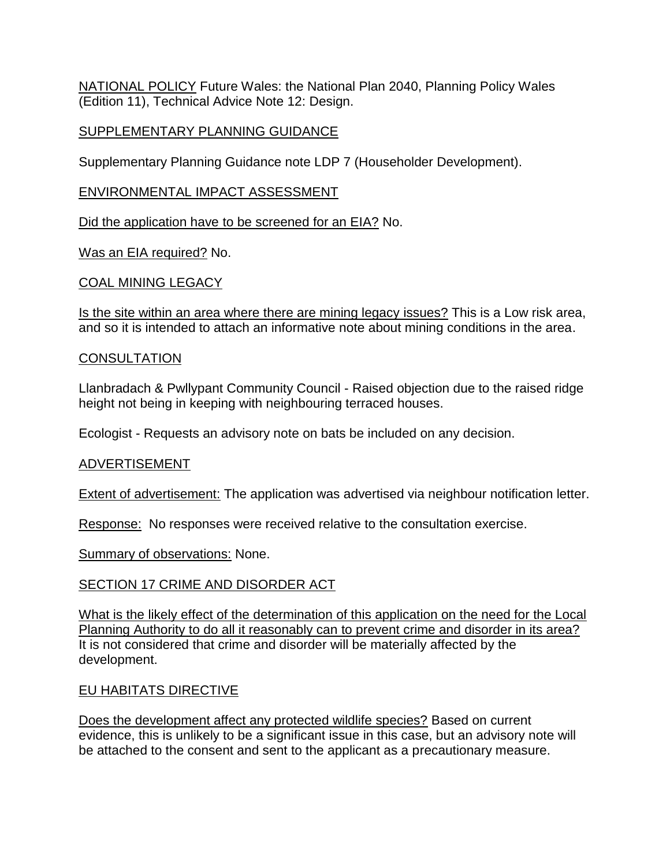NATIONAL POLICY Future Wales: the National Plan 2040, Planning Policy Wales (Edition 11), Technical Advice Note 12: Design.

## SUPPLEMENTARY PLANNING GUIDANCE

Supplementary Planning Guidance note LDP 7 (Householder Development).

## ENVIRONMENTAL IMPACT ASSESSMENT

Did the application have to be screened for an EIA? No.

Was an EIA required? No.

## COAL MINING LEGACY

Is the site within an area where there are mining legacy issues? This is a Low risk area, and so it is intended to attach an informative note about mining conditions in the area.

## **CONSULTATION**

Llanbradach & Pwllypant Community Council - Raised objection due to the raised ridge height not being in keeping with neighbouring terraced houses.

Ecologist - Requests an advisory note on bats be included on any decision.

# ADVERTISEMENT

Extent of advertisement: The application was advertised via neighbour notification letter.

Response: No responses were received relative to the consultation exercise.

Summary of observations: None.

# SECTION 17 CRIME AND DISORDER ACT

What is the likely effect of the determination of this application on the need for the Local Planning Authority to do all it reasonably can to prevent crime and disorder in its area? It is not considered that crime and disorder will be materially affected by the development.

# EU HABITATS DIRECTIVE

Does the development affect any protected wildlife species? Based on current evidence, this is unlikely to be a significant issue in this case, but an advisory note will be attached to the consent and sent to the applicant as a precautionary measure.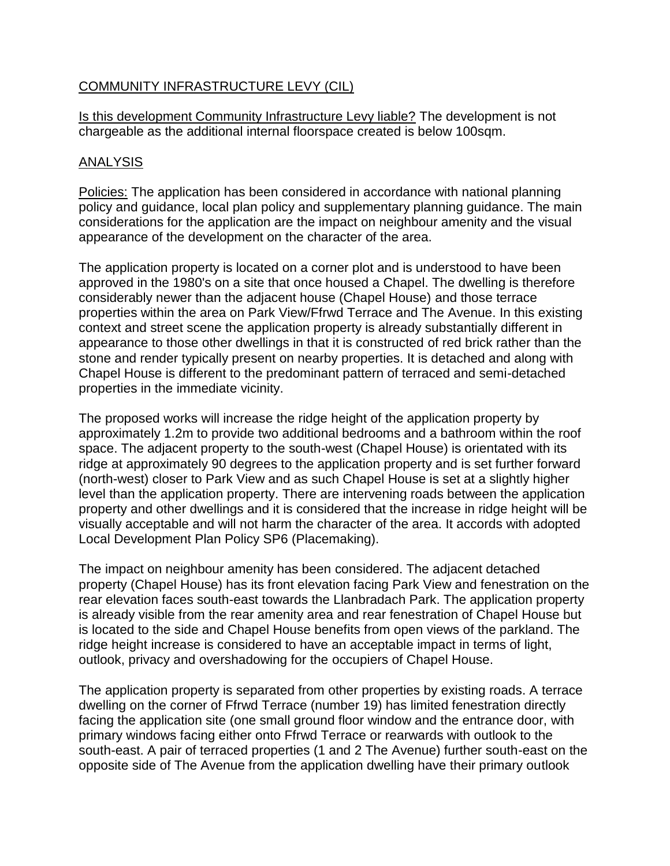## COMMUNITY INFRASTRUCTURE LEVY (CIL)

Is this development Community Infrastructure Levy liable? The development is not chargeable as the additional internal floorspace created is below 100sqm.

### ANALYSIS

Policies: The application has been considered in accordance with national planning policy and guidance, local plan policy and supplementary planning guidance. The main considerations for the application are the impact on neighbour amenity and the visual appearance of the development on the character of the area.

The application property is located on a corner plot and is understood to have been approved in the 1980's on a site that once housed a Chapel. The dwelling is therefore considerably newer than the adjacent house (Chapel House) and those terrace properties within the area on Park View/Ffrwd Terrace and The Avenue. In this existing context and street scene the application property is already substantially different in appearance to those other dwellings in that it is constructed of red brick rather than the stone and render typically present on nearby properties. It is detached and along with Chapel House is different to the predominant pattern of terraced and semi-detached properties in the immediate vicinity.

The proposed works will increase the ridge height of the application property by approximately 1.2m to provide two additional bedrooms and a bathroom within the roof space. The adjacent property to the south-west (Chapel House) is orientated with its ridge at approximately 90 degrees to the application property and is set further forward (north-west) closer to Park View and as such Chapel House is set at a slightly higher level than the application property. There are intervening roads between the application property and other dwellings and it is considered that the increase in ridge height will be visually acceptable and will not harm the character of the area. It accords with adopted Local Development Plan Policy SP6 (Placemaking).

The impact on neighbour amenity has been considered. The adjacent detached property (Chapel House) has its front elevation facing Park View and fenestration on the rear elevation faces south-east towards the Llanbradach Park. The application property is already visible from the rear amenity area and rear fenestration of Chapel House but is located to the side and Chapel House benefits from open views of the parkland. The ridge height increase is considered to have an acceptable impact in terms of light, outlook, privacy and overshadowing for the occupiers of Chapel House.

The application property is separated from other properties by existing roads. A terrace dwelling on the corner of Ffrwd Terrace (number 19) has limited fenestration directly facing the application site (one small ground floor window and the entrance door, with primary windows facing either onto Ffrwd Terrace or rearwards with outlook to the south-east. A pair of terraced properties (1 and 2 The Avenue) further south-east on the opposite side of The Avenue from the application dwelling have their primary outlook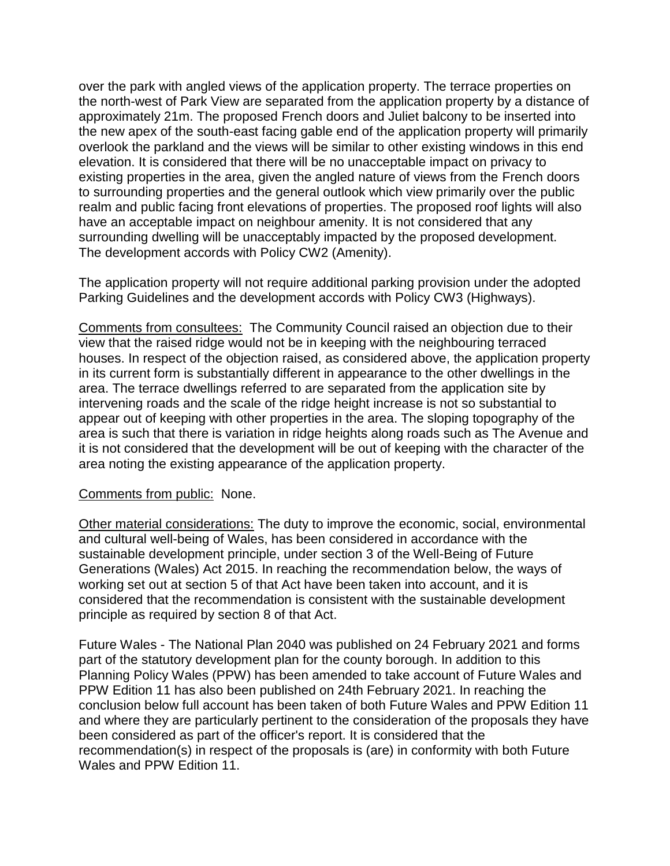over the park with angled views of the application property. The terrace properties on the north-west of Park View are separated from the application property by a distance of approximately 21m. The proposed French doors and Juliet balcony to be inserted into the new apex of the south-east facing gable end of the application property will primarily overlook the parkland and the views will be similar to other existing windows in this end elevation. It is considered that there will be no unacceptable impact on privacy to existing properties in the area, given the angled nature of views from the French doors to surrounding properties and the general outlook which view primarily over the public realm and public facing front elevations of properties. The proposed roof lights will also have an acceptable impact on neighbour amenity. It is not considered that any surrounding dwelling will be unacceptably impacted by the proposed development. The development accords with Policy CW2 (Amenity).

The application property will not require additional parking provision under the adopted Parking Guidelines and the development accords with Policy CW3 (Highways).

Comments from consultees: The Community Council raised an objection due to their view that the raised ridge would not be in keeping with the neighbouring terraced houses. In respect of the objection raised, as considered above, the application property in its current form is substantially different in appearance to the other dwellings in the area. The terrace dwellings referred to are separated from the application site by intervening roads and the scale of the ridge height increase is not so substantial to appear out of keeping with other properties in the area. The sloping topography of the area is such that there is variation in ridge heights along roads such as The Avenue and it is not considered that the development will be out of keeping with the character of the area noting the existing appearance of the application property.

### Comments from public: None.

Other material considerations: The duty to improve the economic, social, environmental and cultural well-being of Wales, has been considered in accordance with the sustainable development principle, under section 3 of the Well-Being of Future Generations (Wales) Act 2015. In reaching the recommendation below, the ways of working set out at section 5 of that Act have been taken into account, and it is considered that the recommendation is consistent with the sustainable development principle as required by section 8 of that Act.

Future Wales - The National Plan 2040 was published on 24 February 2021 and forms part of the statutory development plan for the county borough. In addition to this Planning Policy Wales (PPW) has been amended to take account of Future Wales and PPW Edition 11 has also been published on 24th February 2021. In reaching the conclusion below full account has been taken of both Future Wales and PPW Edition 11 and where they are particularly pertinent to the consideration of the proposals they have been considered as part of the officer's report. It is considered that the recommendation(s) in respect of the proposals is (are) in conformity with both Future Wales and PPW Edition 11.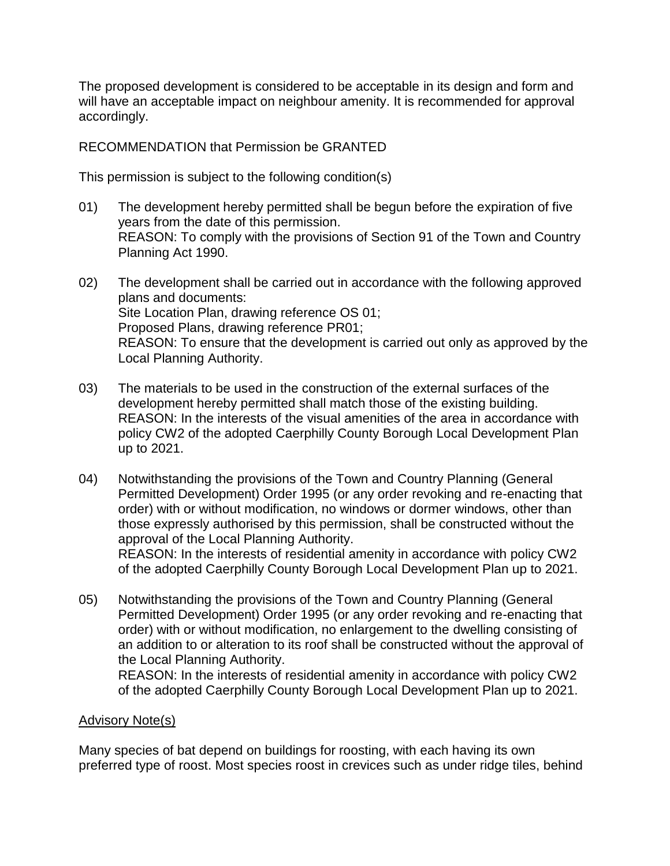The proposed development is considered to be acceptable in its design and form and will have an acceptable impact on neighbour amenity. It is recommended for approval accordingly.

RECOMMENDATION that Permission be GRANTED

This permission is subject to the following condition(s)

- 01) The development hereby permitted shall be begun before the expiration of five years from the date of this permission. REASON: To comply with the provisions of Section 91 of the Town and Country Planning Act 1990.
- 02) The development shall be carried out in accordance with the following approved plans and documents: Site Location Plan, drawing reference OS 01; Proposed Plans, drawing reference PR01; REASON: To ensure that the development is carried out only as approved by the Local Planning Authority.
- 03) The materials to be used in the construction of the external surfaces of the development hereby permitted shall match those of the existing building. REASON: In the interests of the visual amenities of the area in accordance with policy CW2 of the adopted Caerphilly County Borough Local Development Plan up to 2021.
- 04) Notwithstanding the provisions of the Town and Country Planning (General Permitted Development) Order 1995 (or any order revoking and re-enacting that order) with or without modification, no windows or dormer windows, other than those expressly authorised by this permission, shall be constructed without the approval of the Local Planning Authority. REASON: In the interests of residential amenity in accordance with policy CW2 of the adopted Caerphilly County Borough Local Development Plan up to 2021.
- 05) Notwithstanding the provisions of the Town and Country Planning (General Permitted Development) Order 1995 (or any order revoking and re-enacting that order) with or without modification, no enlargement to the dwelling consisting of an addition to or alteration to its roof shall be constructed without the approval of the Local Planning Authority.

REASON: In the interests of residential amenity in accordance with policy CW2 of the adopted Caerphilly County Borough Local Development Plan up to 2021.

### Advisory Note(s)

Many species of bat depend on buildings for roosting, with each having its own preferred type of roost. Most species roost in crevices such as under ridge tiles, behind